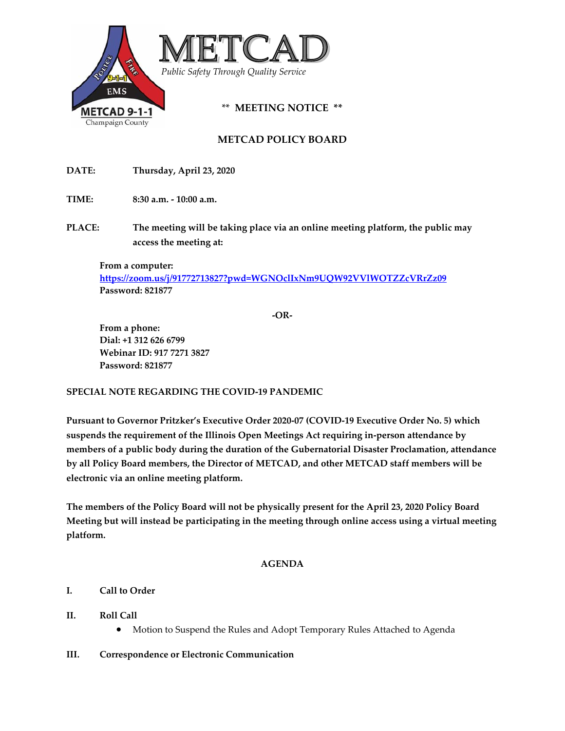

# **METCAD POLICY BOARD**

**DATE: Thursday, April 23, 2020**

**TIME:** 8:30 **a.m.**  $\text{-} 10:00$  **a.m.** 

**PLACE: The meeting will be taking place via an online meeting platform, the public may access the meeting at:** 

**From a computer: https://zoom.us/j/91772713827?pwd=WGNOclIxNm9UQW92VVlWOTZZcVRrZz09 Password: 821877**

**‐OR‐** 

**From a phone: Dial: +1 312 626 6799 Webinar ID: 917 7271 3827 Password: 821877**

### **SPECIAL NOTE REGARDING THE COVID‐19 PANDEMIC**

**Pursuant to Governor Pritzker's Executive Order 2020‐07 (COVID‐19 Executive Order No. 5) which suspends the requirement of the Illinois Open Meetings Act requiring in‐person attendance by members of a public body during the duration of the Gubernatorial Disaster Proclamation, attendance by all Policy Board members, the Director of METCAD, and other METCAD staff members will be electronic via an online meeting platform.** 

**The members of the Policy Board will not be physically present for the April 23, 2020 Policy Board Meeting but will instead be participating in the meeting through online access using a virtual meeting platform.** 

### **AGENDA**

## **I. Call to Order**

### **II. Roll Call**

- Motion to Suspend the Rules and Adopt Temporary Rules Attached to Agenda
- **III. Correspondence or Electronic Communication**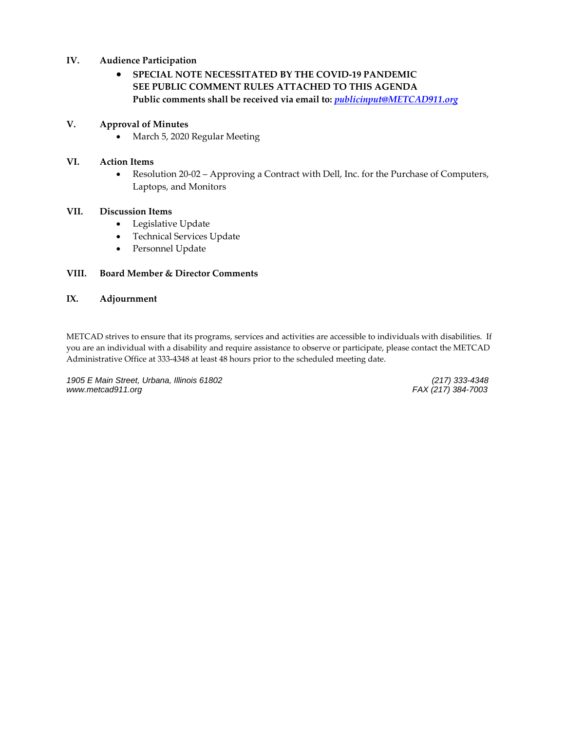### **IV. Audience Participation**

## **SPECIAL NOTE NECESSITATED BY THE COVID‐19 PANDEMIC SEE PUBLIC COMMENT RULES ATTACHED TO THIS AGENDA Public comments shall be received via email to:** *publicinput@METCAD911.org*

#### **V. Approval of Minutes**

• March 5, 2020 Regular Meeting

#### **VI. Action Items**

● Resolution 20-02 – Approving a Contract with Dell, Inc. for the Purchase of Computers, Laptops, and Monitors

#### **VII. Discussion Items**

- Legislative Update
- Technical Services Update
- Personnel Update

#### **VIII. Board Member & Director Comments**

#### **IX. Adjournment**

METCAD strives to ensure that its programs, services and activities are accessible to individuals with disabilities. If you are an individual with a disability and require assistance to observe or participate, please contact the METCAD Administrative Office at 333‐4348 at least 48 hours prior to the scheduled meeting date.

1905 E Main Street, Urbana, Illinois 61802 *www.metcad911.org FAX (217) 384-7003*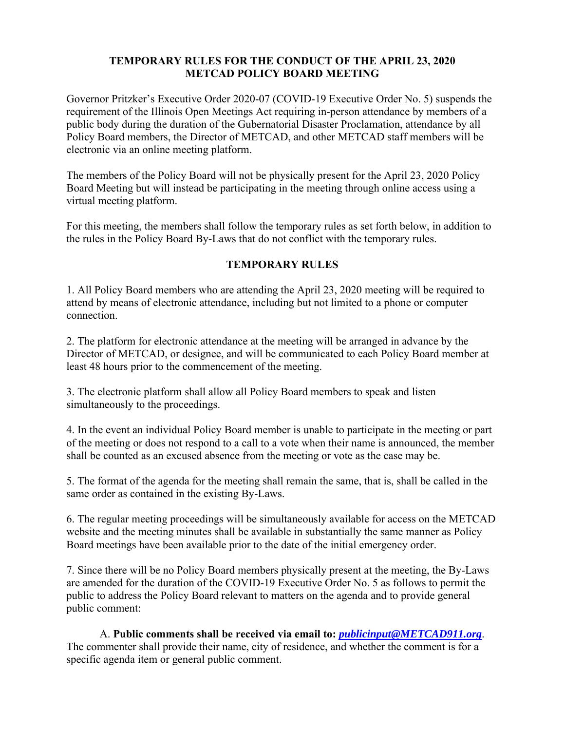# **TEMPORARY RULES FOR THE CONDUCT OF THE APRIL 23, 2020 METCAD POLICY BOARD MEETING**

Governor Pritzker's Executive Order 2020-07 (COVID-19 Executive Order No. 5) suspends the requirement of the Illinois Open Meetings Act requiring in-person attendance by members of a public body during the duration of the Gubernatorial Disaster Proclamation, attendance by all Policy Board members, the Director of METCAD, and other METCAD staff members will be electronic via an online meeting platform.

The members of the Policy Board will not be physically present for the April 23, 2020 Policy Board Meeting but will instead be participating in the meeting through online access using a virtual meeting platform.

For this meeting, the members shall follow the temporary rules as set forth below, in addition to the rules in the Policy Board By-Laws that do not conflict with the temporary rules.

# **TEMPORARY RULES**

1. All Policy Board members who are attending the April 23, 2020 meeting will be required to attend by means of electronic attendance, including but not limited to a phone or computer connection.

2. The platform for electronic attendance at the meeting will be arranged in advance by the Director of METCAD, or designee, and will be communicated to each Policy Board member at least 48 hours prior to the commencement of the meeting.

3. The electronic platform shall allow all Policy Board members to speak and listen simultaneously to the proceedings.

4. In the event an individual Policy Board member is unable to participate in the meeting or part of the meeting or does not respond to a call to a vote when their name is announced, the member shall be counted as an excused absence from the meeting or vote as the case may be.

5. The format of the agenda for the meeting shall remain the same, that is, shall be called in the same order as contained in the existing By-Laws.

6. The regular meeting proceedings will be simultaneously available for access on the METCAD website and the meeting minutes shall be available in substantially the same manner as Policy Board meetings have been available prior to the date of the initial emergency order.

7. Since there will be no Policy Board members physically present at the meeting, the By-Laws are amended for the duration of the COVID-19 Executive Order No. 5 as follows to permit the public to address the Policy Board relevant to matters on the agenda and to provide general public comment:

A. **Public comments shall be received via email to:** *publicinput@METCAD911.org*. The commenter shall provide their name, city of residence, and whether the comment is for a specific agenda item or general public comment.